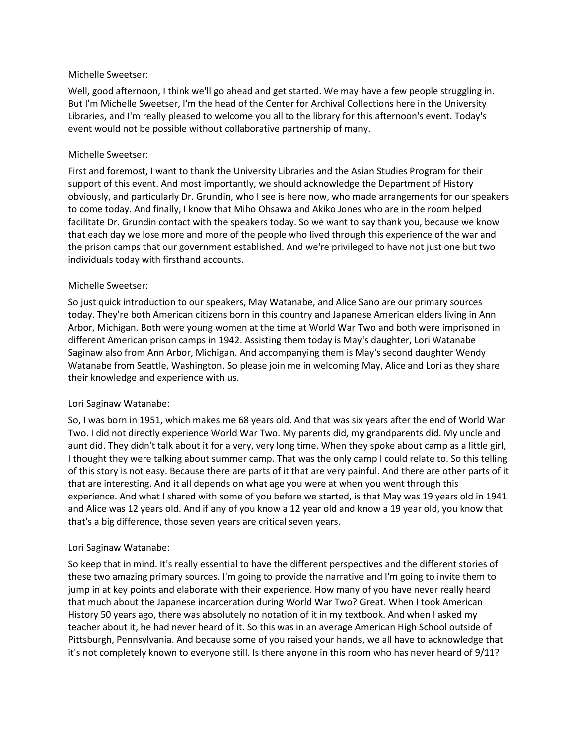#### Michelle Sweetser:

Well, good afternoon, I think we'll go ahead and get started. We may have a few people struggling in. But I'm Michelle Sweetser, I'm the head of the Center for Archival Collections here in the University Libraries, and I'm really pleased to welcome you all to the library for this afternoon's event. Today's event would not be possible without collaborative partnership of many.

### Michelle Sweetser:

First and foremost, I want to thank the University Libraries and the Asian Studies Program for their support of this event. And most importantly, we should acknowledge the Department of History obviously, and particularly Dr. Grundin, who I see is here now, who made arrangements for our speakers to come today. And finally, I know that Miho Ohsawa and Akiko Jones who are in the room helped facilitate Dr. Grundin contact with the speakers today. So we want to say thank you, because we know that each day we lose more and more of the people who lived through this experience of the war and the prison camps that our government established. And we're privileged to have not just one but two individuals today with firsthand accounts.

### Michelle Sweetser:

So just quick introduction to our speakers, May Watanabe, and Alice Sano are our primary sources today. They're both American citizens born in this country and Japanese American elders living in Ann Arbor, Michigan. Both were young women at the time at World War Two and both were imprisoned in different American prison camps in 1942. Assisting them today is May's daughter, Lori Watanabe Saginaw also from Ann Arbor, Michigan. And accompanying them is May's second daughter Wendy Watanabe from Seattle, Washington. So please join me in welcoming May, Alice and Lori as they share their knowledge and experience with us.

### Lori Saginaw Watanabe:

So, I was born in 1951, which makes me 68 years old. And that was six years after the end of World War Two. I did not directly experience World War Two. My parents did, my grandparents did. My uncle and aunt did. They didn't talk about it for a very, very long time. When they spoke about camp as a little girl, I thought they were talking about summer camp. That was the only camp I could relate to. So this telling of this story is not easy. Because there are parts of it that are very painful. And there are other parts of it that are interesting. And it all depends on what age you were at when you went through this experience. And what I shared with some of you before we started, is that May was 19 years old in 1941 and Alice was 12 years old. And if any of you know a 12 year old and know a 19 year old, you know that that's a big difference, those seven years are critical seven years.

### Lori Saginaw Watanabe:

So keep that in mind. It's really essential to have the different perspectives and the different stories of these two amazing primary sources. I'm going to provide the narrative and I'm going to invite them to jump in at key points and elaborate with their experience. How many of you have never really heard that much about the Japanese incarceration during World War Two? Great. When I took American History 50 years ago, there was absolutely no notation of it in my textbook. And when I asked my teacher about it, he had never heard of it. So this was in an average American High School outside of Pittsburgh, Pennsylvania. And because some of you raised your hands, we all have to acknowledge that it's not completely known to everyone still. Is there anyone in this room who has never heard of 9/11?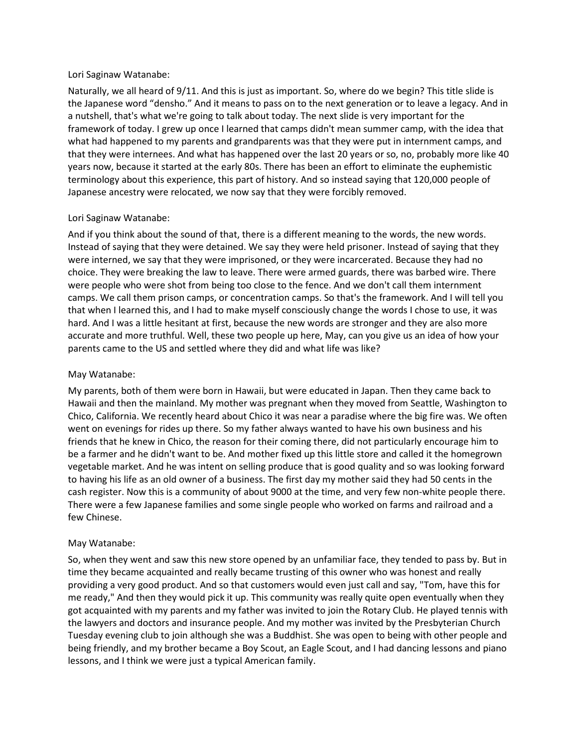#### Lori Saginaw Watanabe:

Naturally, we all heard of 9/11. And this is just as important. So, where do we begin? This title slide is the Japanese word "densho." And it means to pass on to the next generation or to leave a legacy. And in a nutshell, that's what we're going to talk about today. The next slide is very important for the framework of today. I grew up once I learned that camps didn't mean summer camp, with the idea that what had happened to my parents and grandparents was that they were put in internment camps, and that they were internees. And what has happened over the last 20 years or so, no, probably more like 40 years now, because it started at the early 80s. There has been an effort to eliminate the euphemistic terminology about this experience, this part of history. And so instead saying that 120,000 people of Japanese ancestry were relocated, we now say that they were forcibly removed.

## Lori Saginaw Watanabe:

And if you think about the sound of that, there is a different meaning to the words, the new words. Instead of saying that they were detained. We say they were held prisoner. Instead of saying that they were interned, we say that they were imprisoned, or they were incarcerated. Because they had no choice. They were breaking the law to leave. There were armed guards, there was barbed wire. There were people who were shot from being too close to the fence. And we don't call them internment camps. We call them prison camps, or concentration camps. So that's the framework. And I will tell you that when I learned this, and I had to make myself consciously change the words I chose to use, it was hard. And I was a little hesitant at first, because the new words are stronger and they are also more accurate and more truthful. Well, these two people up here, May, can you give us an idea of how your parents came to the US and settled where they did and what life was like?

### May Watanabe:

My parents, both of them were born in Hawaii, but were educated in Japan. Then they came back to Hawaii and then the mainland. My mother was pregnant when they moved from Seattle, Washington to Chico, California. We recently heard about Chico it was near a paradise where the big fire was. We often went on evenings for rides up there. So my father always wanted to have his own business and his friends that he knew in Chico, the reason for their coming there, did not particularly encourage him to be a farmer and he didn't want to be. And mother fixed up this little store and called it the homegrown vegetable market. And he was intent on selling produce that is good quality and so was looking forward to having his life as an old owner of a business. The first day my mother said they had 50 cents in the cash register. Now this is a community of about 9000 at the time, and very few non-white people there. There were a few Japanese families and some single people who worked on farms and railroad and a few Chinese.

### May Watanabe:

So, when they went and saw this new store opened by an unfamiliar face, they tended to pass by. But in time they became acquainted and really became trusting of this owner who was honest and really providing a very good product. And so that customers would even just call and say, "Tom, have this for me ready," And then they would pick it up. This community was really quite open eventually when they got acquainted with my parents and my father was invited to join the Rotary Club. He played tennis with the lawyers and doctors and insurance people. And my mother was invited by the Presbyterian Church Tuesday evening club to join although she was a Buddhist. She was open to being with other people and being friendly, and my brother became a Boy Scout, an Eagle Scout, and I had dancing lessons and piano lessons, and I think we were just a typical American family.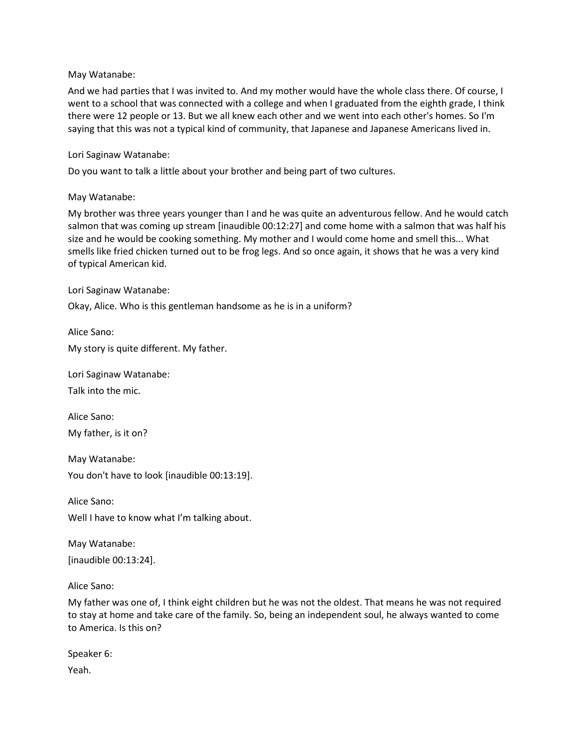### May Watanabe:

And we had parties that I was invited to. And my mother would have the whole class there. Of course, I went to a school that was connected with a college and when I graduated from the eighth grade, I think there were 12 people or 13. But we all knew each other and we went into each other's homes. So I'm saying that this was not a typical kind of community, that Japanese and Japanese Americans lived in.

#### Lori Saginaw Watanabe:

Do you want to talk a little about your brother and being part of two cultures.

#### May Watanabe:

My brother was three years younger than I and he was quite an adventurous fellow. And he would catch salmon that was coming up stream [inaudible 00:12:27] and come home with a salmon that was half his size and he would be cooking something. My mother and I would come home and smell this... What smells like fried chicken turned out to be frog legs. And so once again, it shows that he was a very kind of typical American kid.

Lori Saginaw Watanabe:

Okay, Alice. Who is this gentleman handsome as he is in a uniform?

Alice Sano:

My story is quite different. My father.

Lori Saginaw Watanabe:

Talk into the mic.

Alice Sano: My father, is it on?

May Watanabe: You don't have to look [inaudible 00:13:19].

Alice Sano: Well I have to know what I'm talking about.

May Watanabe: [inaudible 00:13:24].

Alice Sano:

My father was one of, I think eight children but he was not the oldest. That means he was not required to stay at home and take care of the family. So, being an independent soul, he always wanted to come to America. Is this on?

Speaker 6: Yeah.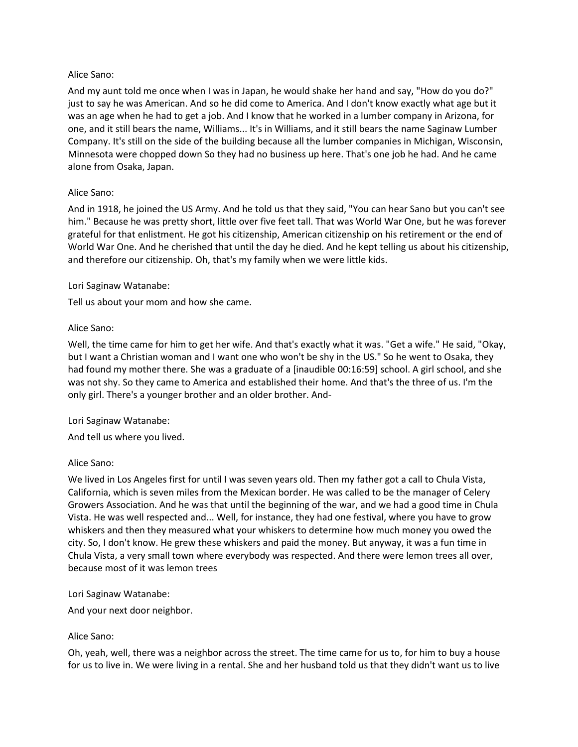### Alice Sano:

And my aunt told me once when I was in Japan, he would shake her hand and say, "How do you do?" just to say he was American. And so he did come to America. And I don't know exactly what age but it was an age when he had to get a job. And I know that he worked in a lumber company in Arizona, for one, and it still bears the name, Williams... It's in Williams, and it still bears the name Saginaw Lumber Company. It's still on the side of the building because all the lumber companies in Michigan, Wisconsin, Minnesota were chopped down So they had no business up here. That's one job he had. And he came alone from Osaka, Japan.

## Alice Sano:

And in 1918, he joined the US Army. And he told us that they said, "You can hear Sano but you can't see him." Because he was pretty short, little over five feet tall. That was World War One, but he was forever grateful for that enlistment. He got his citizenship, American citizenship on his retirement or the end of World War One. And he cherished that until the day he died. And he kept telling us about his citizenship, and therefore our citizenship. Oh, that's my family when we were little kids.

## Lori Saginaw Watanabe:

Tell us about your mom and how she came.

## Alice Sano:

Well, the time came for him to get her wife. And that's exactly what it was. "Get a wife." He said, "Okay, but I want a Christian woman and I want one who won't be shy in the US." So he went to Osaka, they had found my mother there. She was a graduate of a [inaudible 00:16:59] school. A girl school, and she was not shy. So they came to America and established their home. And that's the three of us. I'm the only girl. There's a younger brother and an older brother. And-

### Lori Saginaw Watanabe:

And tell us where you lived.

### Alice Sano:

We lived in Los Angeles first for until I was seven years old. Then my father got a call to Chula Vista, California, which is seven miles from the Mexican border. He was called to be the manager of Celery Growers Association. And he was that until the beginning of the war, and we had a good time in Chula Vista. He was well respected and... Well, for instance, they had one festival, where you have to grow whiskers and then they measured what your whiskers to determine how much money you owed the city. So, I don't know. He grew these whiskers and paid the money. But anyway, it was a fun time in Chula Vista, a very small town where everybody was respected. And there were lemon trees all over, because most of it was lemon trees

### Lori Saginaw Watanabe:

And your next door neighbor.

### Alice Sano:

Oh, yeah, well, there was a neighbor across the street. The time came for us to, for him to buy a house for us to live in. We were living in a rental. She and her husband told us that they didn't want us to live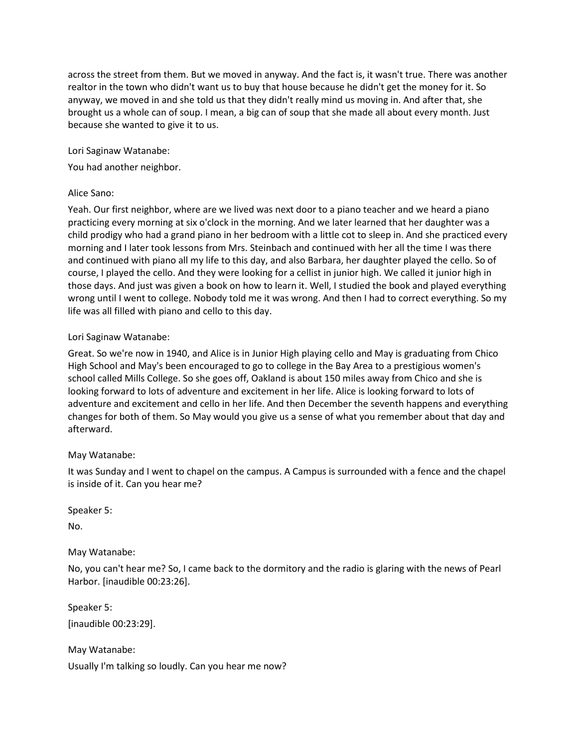across the street from them. But we moved in anyway. And the fact is, it wasn't true. There was another realtor in the town who didn't want us to buy that house because he didn't get the money for it. So anyway, we moved in and she told us that they didn't really mind us moving in. And after that, she brought us a whole can of soup. I mean, a big can of soup that she made all about every month. Just because she wanted to give it to us.

Lori Saginaw Watanabe:

You had another neighbor.

## Alice Sano:

Yeah. Our first neighbor, where are we lived was next door to a piano teacher and we heard a piano practicing every morning at six o'clock in the morning. And we later learned that her daughter was a child prodigy who had a grand piano in her bedroom with a little cot to sleep in. And she practiced every morning and I later took lessons from Mrs. Steinbach and continued with her all the time I was there and continued with piano all my life to this day, and also Barbara, her daughter played the cello. So of course, I played the cello. And they were looking for a cellist in junior high. We called it junior high in those days. And just was given a book on how to learn it. Well, I studied the book and played everything wrong until I went to college. Nobody told me it was wrong. And then I had to correct everything. So my life was all filled with piano and cello to this day.

## Lori Saginaw Watanabe:

Great. So we're now in 1940, and Alice is in Junior High playing cello and May is graduating from Chico High School and May's been encouraged to go to college in the Bay Area to a prestigious women's school called Mills College. So she goes off, Oakland is about 150 miles away from Chico and she is looking forward to lots of adventure and excitement in her life. Alice is looking forward to lots of adventure and excitement and cello in her life. And then December the seventh happens and everything changes for both of them. So May would you give us a sense of what you remember about that day and afterward.

# May Watanabe:

It was Sunday and I went to chapel on the campus. A Campus is surrounded with a fence and the chapel is inside of it. Can you hear me?

Speaker 5:

No.

# May Watanabe:

No, you can't hear me? So, I came back to the dormitory and the radio is glaring with the news of Pearl Harbor. [inaudible 00:23:26].

Speaker 5: [inaudible 00:23:29].

May Watanabe:

Usually I'm talking so loudly. Can you hear me now?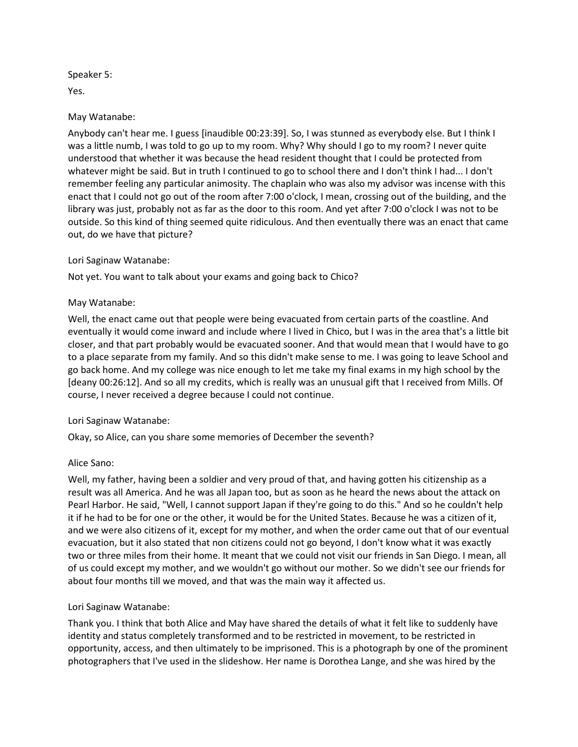Speaker 5:

Yes.

### May Watanabe:

Anybody can't hear me. I guess [inaudible 00:23:39]. So, I was stunned as everybody else. But I think I was a little numb, I was told to go up to my room. Why? Why should I go to my room? I never quite understood that whether it was because the head resident thought that I could be protected from whatever might be said. But in truth I continued to go to school there and I don't think I had... I don't remember feeling any particular animosity. The chaplain who was also my advisor was incense with this enact that I could not go out of the room after 7:00 o'clock, I mean, crossing out of the building, and the library was just, probably not as far as the door to this room. And yet after 7:00 o'clock I was not to be outside. So this kind of thing seemed quite ridiculous. And then eventually there was an enact that came out, do we have that picture?

#### Lori Saginaw Watanabe:

Not yet. You want to talk about your exams and going back to Chico?

#### May Watanabe:

Well, the enact came out that people were being evacuated from certain parts of the coastline. And eventually it would come inward and include where I lived in Chico, but I was in the area that's a little bit closer, and that part probably would be evacuated sooner. And that would mean that I would have to go to a place separate from my family. And so this didn't make sense to me. I was going to leave School and go back home. And my college was nice enough to let me take my final exams in my high school by the [deany 00:26:12]. And so all my credits, which is really was an unusual gift that I received from Mills. Of course, I never received a degree because I could not continue.

#### Lori Saginaw Watanabe:

Okay, so Alice, can you share some memories of December the seventh?

#### Alice Sano:

Well, my father, having been a soldier and very proud of that, and having gotten his citizenship as a result was all America. And he was all Japan too, but as soon as he heard the news about the attack on Pearl Harbor. He said, "Well, I cannot support Japan if they're going to do this." And so he couldn't help it if he had to be for one or the other, it would be for the United States. Because he was a citizen of it, and we were also citizens of it, except for my mother, and when the order came out that of our eventual evacuation, but it also stated that non citizens could not go beyond, I don't know what it was exactly two or three miles from their home. It meant that we could not visit our friends in San Diego. I mean, all of us could except my mother, and we wouldn't go without our mother. So we didn't see our friends for about four months till we moved, and that was the main way it affected us.

### Lori Saginaw Watanabe:

Thank you. I think that both Alice and May have shared the details of what it felt like to suddenly have identity and status completely transformed and to be restricted in movement, to be restricted in opportunity, access, and then ultimately to be imprisoned. This is a photograph by one of the prominent photographers that I've used in the slideshow. Her name is Dorothea Lange, and she was hired by the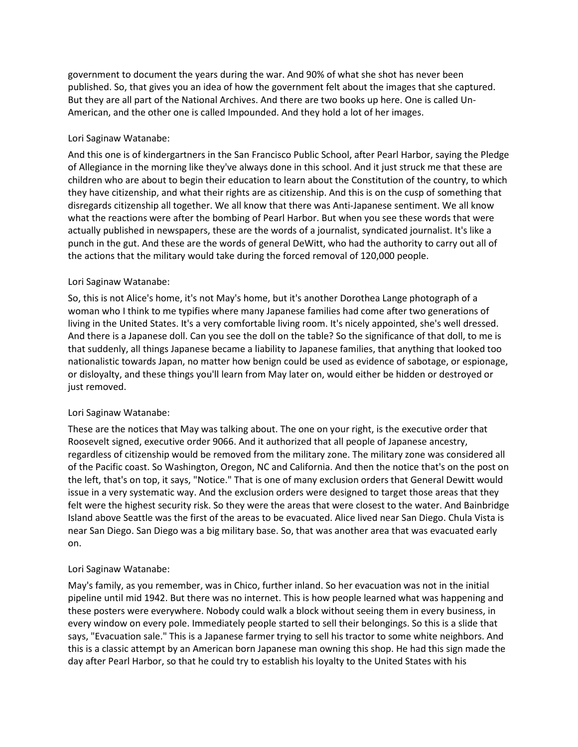government to document the years during the war. And 90% of what she shot has never been published. So, that gives you an idea of how the government felt about the images that she captured. But they are all part of the National Archives. And there are two books up here. One is called Un-American, and the other one is called Impounded. And they hold a lot of her images.

## Lori Saginaw Watanabe:

And this one is of kindergartners in the San Francisco Public School, after Pearl Harbor, saying the Pledge of Allegiance in the morning like they've always done in this school. And it just struck me that these are children who are about to begin their education to learn about the Constitution of the country, to which they have citizenship, and what their rights are as citizenship. And this is on the cusp of something that disregards citizenship all together. We all know that there was Anti-Japanese sentiment. We all know what the reactions were after the bombing of Pearl Harbor. But when you see these words that were actually published in newspapers, these are the words of a journalist, syndicated journalist. It's like a punch in the gut. And these are the words of general DeWitt, who had the authority to carry out all of the actions that the military would take during the forced removal of 120,000 people.

## Lori Saginaw Watanabe:

So, this is not Alice's home, it's not May's home, but it's another Dorothea Lange photograph of a woman who I think to me typifies where many Japanese families had come after two generations of living in the United States. It's a very comfortable living room. It's nicely appointed, she's well dressed. And there is a Japanese doll. Can you see the doll on the table? So the significance of that doll, to me is that suddenly, all things Japanese became a liability to Japanese families, that anything that looked too nationalistic towards Japan, no matter how benign could be used as evidence of sabotage, or espionage, or disloyalty, and these things you'll learn from May later on, would either be hidden or destroyed or just removed.

# Lori Saginaw Watanabe:

These are the notices that May was talking about. The one on your right, is the executive order that Roosevelt signed, executive order 9066. And it authorized that all people of Japanese ancestry, regardless of citizenship would be removed from the military zone. The military zone was considered all of the Pacific coast. So Washington, Oregon, NC and California. And then the notice that's on the post on the left, that's on top, it says, "Notice." That is one of many exclusion orders that General Dewitt would issue in a very systematic way. And the exclusion orders were designed to target those areas that they felt were the highest security risk. So they were the areas that were closest to the water. And Bainbridge Island above Seattle was the first of the areas to be evacuated. Alice lived near San Diego. Chula Vista is near San Diego. San Diego was a big military base. So, that was another area that was evacuated early on.

### Lori Saginaw Watanabe:

May's family, as you remember, was in Chico, further inland. So her evacuation was not in the initial pipeline until mid 1942. But there was no internet. This is how people learned what was happening and these posters were everywhere. Nobody could walk a block without seeing them in every business, in every window on every pole. Immediately people started to sell their belongings. So this is a slide that says, "Evacuation sale." This is a Japanese farmer trying to sell his tractor to some white neighbors. And this is a classic attempt by an American born Japanese man owning this shop. He had this sign made the day after Pearl Harbor, so that he could try to establish his loyalty to the United States with his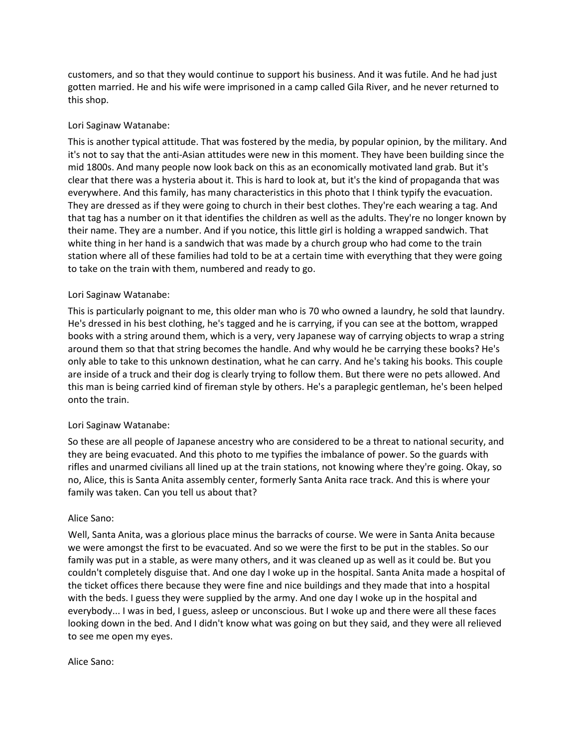customers, and so that they would continue to support his business. And it was futile. And he had just gotten married. He and his wife were imprisoned in a camp called Gila River, and he never returned to this shop.

## Lori Saginaw Watanabe:

This is another typical attitude. That was fostered by the media, by popular opinion, by the military. And it's not to say that the anti-Asian attitudes were new in this moment. They have been building since the mid 1800s. And many people now look back on this as an economically motivated land grab. But it's clear that there was a hysteria about it. This is hard to look at, but it's the kind of propaganda that was everywhere. And this family, has many characteristics in this photo that I think typify the evacuation. They are dressed as if they were going to church in their best clothes. They're each wearing a tag. And that tag has a number on it that identifies the children as well as the adults. They're no longer known by their name. They are a number. And if you notice, this little girl is holding a wrapped sandwich. That white thing in her hand is a sandwich that was made by a church group who had come to the train station where all of these families had told to be at a certain time with everything that they were going to take on the train with them, numbered and ready to go.

### Lori Saginaw Watanabe:

This is particularly poignant to me, this older man who is 70 who owned a laundry, he sold that laundry. He's dressed in his best clothing, he's tagged and he is carrying, if you can see at the bottom, wrapped books with a string around them, which is a very, very Japanese way of carrying objects to wrap a string around them so that that string becomes the handle. And why would he be carrying these books? He's only able to take to this unknown destination, what he can carry. And he's taking his books. This couple are inside of a truck and their dog is clearly trying to follow them. But there were no pets allowed. And this man is being carried kind of fireman style by others. He's a paraplegic gentleman, he's been helped onto the train.

### Lori Saginaw Watanabe:

So these are all people of Japanese ancestry who are considered to be a threat to national security, and they are being evacuated. And this photo to me typifies the imbalance of power. So the guards with rifles and unarmed civilians all lined up at the train stations, not knowing where they're going. Okay, so no, Alice, this is Santa Anita assembly center, formerly Santa Anita race track. And this is where your family was taken. Can you tell us about that?

### Alice Sano:

Well, Santa Anita, was a glorious place minus the barracks of course. We were in Santa Anita because we were amongst the first to be evacuated. And so we were the first to be put in the stables. So our family was put in a stable, as were many others, and it was cleaned up as well as it could be. But you couldn't completely disguise that. And one day I woke up in the hospital. Santa Anita made a hospital of the ticket offices there because they were fine and nice buildings and they made that into a hospital with the beds. I guess they were supplied by the army. And one day I woke up in the hospital and everybody... I was in bed, I guess, asleep or unconscious. But I woke up and there were all these faces looking down in the bed. And I didn't know what was going on but they said, and they were all relieved to see me open my eyes.

### Alice Sano: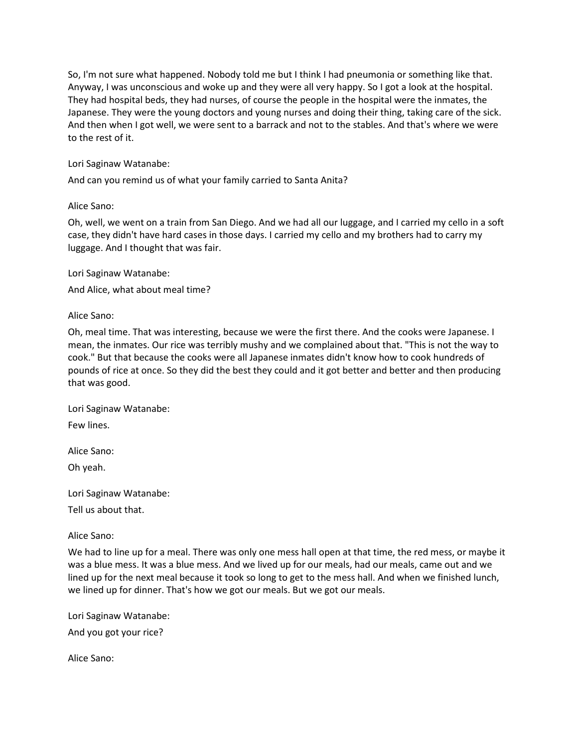So, I'm not sure what happened. Nobody told me but I think I had pneumonia or something like that. Anyway, I was unconscious and woke up and they were all very happy. So I got a look at the hospital. They had hospital beds, they had nurses, of course the people in the hospital were the inmates, the Japanese. They were the young doctors and young nurses and doing their thing, taking care of the sick. And then when I got well, we were sent to a barrack and not to the stables. And that's where we were to the rest of it.

### Lori Saginaw Watanabe:

And can you remind us of what your family carried to Santa Anita?

#### Alice Sano:

Oh, well, we went on a train from San Diego. And we had all our luggage, and I carried my cello in a soft case, they didn't have hard cases in those days. I carried my cello and my brothers had to carry my luggage. And I thought that was fair.

Lori Saginaw Watanabe:

And Alice, what about meal time?

#### Alice Sano:

Oh, meal time. That was interesting, because we were the first there. And the cooks were Japanese. I mean, the inmates. Our rice was terribly mushy and we complained about that. "This is not the way to cook." But that because the cooks were all Japanese inmates didn't know how to cook hundreds of pounds of rice at once. So they did the best they could and it got better and better and then producing that was good.

Lori Saginaw Watanabe:

Few lines.

Alice Sano:

Oh yeah.

Lori Saginaw Watanabe:

Tell us about that.

#### Alice Sano:

We had to line up for a meal. There was only one mess hall open at that time, the red mess, or maybe it was a blue mess. It was a blue mess. And we lived up for our meals, had our meals, came out and we lined up for the next meal because it took so long to get to the mess hall. And when we finished lunch, we lined up for dinner. That's how we got our meals. But we got our meals.

Lori Saginaw Watanabe:

And you got your rice?

Alice Sano: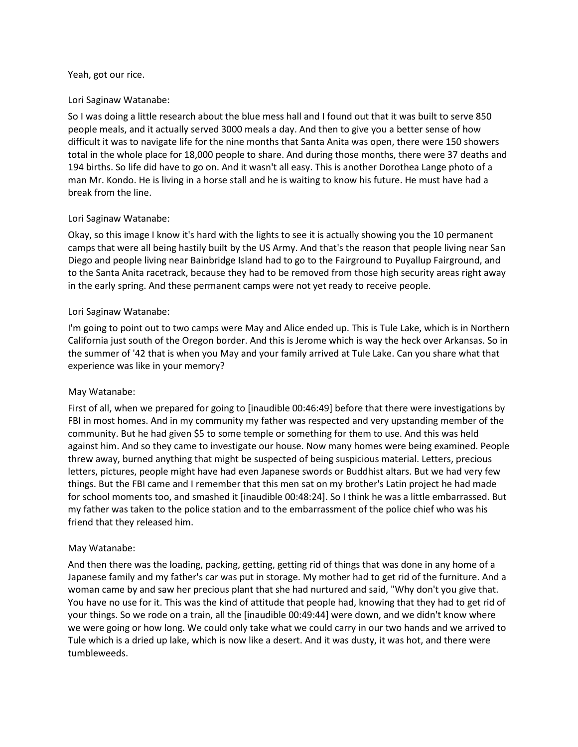#### Yeah, got our rice.

### Lori Saginaw Watanabe:

So I was doing a little research about the blue mess hall and I found out that it was built to serve 850 people meals, and it actually served 3000 meals a day. And then to give you a better sense of how difficult it was to navigate life for the nine months that Santa Anita was open, there were 150 showers total in the whole place for 18,000 people to share. And during those months, there were 37 deaths and 194 births. So life did have to go on. And it wasn't all easy. This is another Dorothea Lange photo of a man Mr. Kondo. He is living in a horse stall and he is waiting to know his future. He must have had a break from the line.

#### Lori Saginaw Watanabe:

Okay, so this image I know it's hard with the lights to see it is actually showing you the 10 permanent camps that were all being hastily built by the US Army. And that's the reason that people living near San Diego and people living near Bainbridge Island had to go to the Fairground to Puyallup Fairground, and to the Santa Anita racetrack, because they had to be removed from those high security areas right away in the early spring. And these permanent camps were not yet ready to receive people.

#### Lori Saginaw Watanabe:

I'm going to point out to two camps were May and Alice ended up. This is Tule Lake, which is in Northern California just south of the Oregon border. And this is Jerome which is way the heck over Arkansas. So in the summer of '42 that is when you May and your family arrived at Tule Lake. Can you share what that experience was like in your memory?

### May Watanabe:

First of all, when we prepared for going to [inaudible 00:46:49] before that there were investigations by FBI in most homes. And in my community my father was respected and very upstanding member of the community. But he had given \$5 to some temple or something for them to use. And this was held against him. And so they came to investigate our house. Now many homes were being examined. People threw away, burned anything that might be suspected of being suspicious material. Letters, precious letters, pictures, people might have had even Japanese swords or Buddhist altars. But we had very few things. But the FBI came and I remember that this men sat on my brother's Latin project he had made for school moments too, and smashed it [inaudible 00:48:24]. So I think he was a little embarrassed. But my father was taken to the police station and to the embarrassment of the police chief who was his friend that they released him.

### May Watanabe:

And then there was the loading, packing, getting, getting rid of things that was done in any home of a Japanese family and my father's car was put in storage. My mother had to get rid of the furniture. And a woman came by and saw her precious plant that she had nurtured and said, "Why don't you give that. You have no use for it. This was the kind of attitude that people had, knowing that they had to get rid of your things. So we rode on a train, all the [inaudible 00:49:44] were down, and we didn't know where we were going or how long. We could only take what we could carry in our two hands and we arrived to Tule which is a dried up lake, which is now like a desert. And it was dusty, it was hot, and there were tumbleweeds.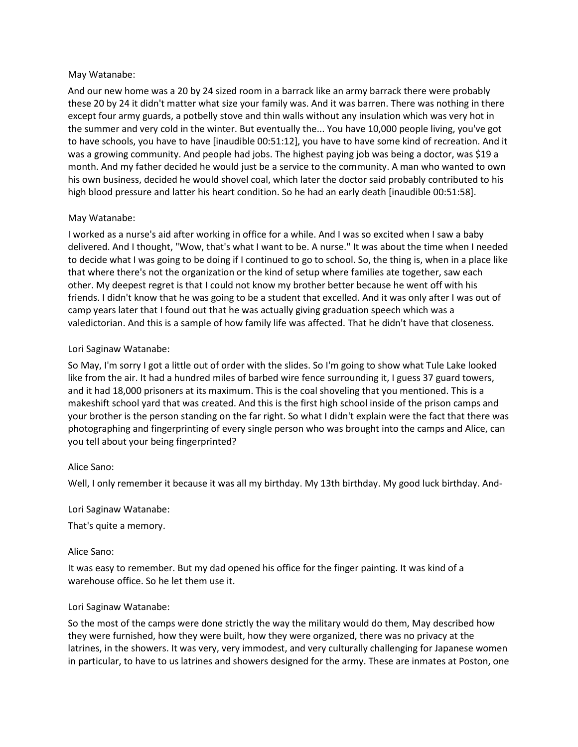### May Watanabe:

And our new home was a 20 by 24 sized room in a barrack like an army barrack there were probably these 20 by 24 it didn't matter what size your family was. And it was barren. There was nothing in there except four army guards, a potbelly stove and thin walls without any insulation which was very hot in the summer and very cold in the winter. But eventually the... You have 10,000 people living, you've got to have schools, you have to have [inaudible 00:51:12], you have to have some kind of recreation. And it was a growing community. And people had jobs. The highest paying job was being a doctor, was \$19 a month. And my father decided he would just be a service to the community. A man who wanted to own his own business, decided he would shovel coal, which later the doctor said probably contributed to his high blood pressure and latter his heart condition. So he had an early death [inaudible 00:51:58].

### May Watanabe:

I worked as a nurse's aid after working in office for a while. And I was so excited when I saw a baby delivered. And I thought, "Wow, that's what I want to be. A nurse." It was about the time when I needed to decide what I was going to be doing if I continued to go to school. So, the thing is, when in a place like that where there's not the organization or the kind of setup where families ate together, saw each other. My deepest regret is that I could not know my brother better because he went off with his friends. I didn't know that he was going to be a student that excelled. And it was only after I was out of camp years later that I found out that he was actually giving graduation speech which was a valedictorian. And this is a sample of how family life was affected. That he didn't have that closeness.

### Lori Saginaw Watanabe:

So May, I'm sorry I got a little out of order with the slides. So I'm going to show what Tule Lake looked like from the air. It had a hundred miles of barbed wire fence surrounding it, I guess 37 guard towers, and it had 18,000 prisoners at its maximum. This is the coal shoveling that you mentioned. This is a makeshift school yard that was created. And this is the first high school inside of the prison camps and your brother is the person standing on the far right. So what I didn't explain were the fact that there was photographing and fingerprinting of every single person who was brought into the camps and Alice, can you tell about your being fingerprinted?

### Alice Sano:

Well, I only remember it because it was all my birthday. My 13th birthday. My good luck birthday. And-

### Lori Saginaw Watanabe:

That's quite a memory.

### Alice Sano:

It was easy to remember. But my dad opened his office for the finger painting. It was kind of a warehouse office. So he let them use it.

### Lori Saginaw Watanabe:

So the most of the camps were done strictly the way the military would do them, May described how they were furnished, how they were built, how they were organized, there was no privacy at the latrines, in the showers. It was very, very immodest, and very culturally challenging for Japanese women in particular, to have to us latrines and showers designed for the army. These are inmates at Poston, one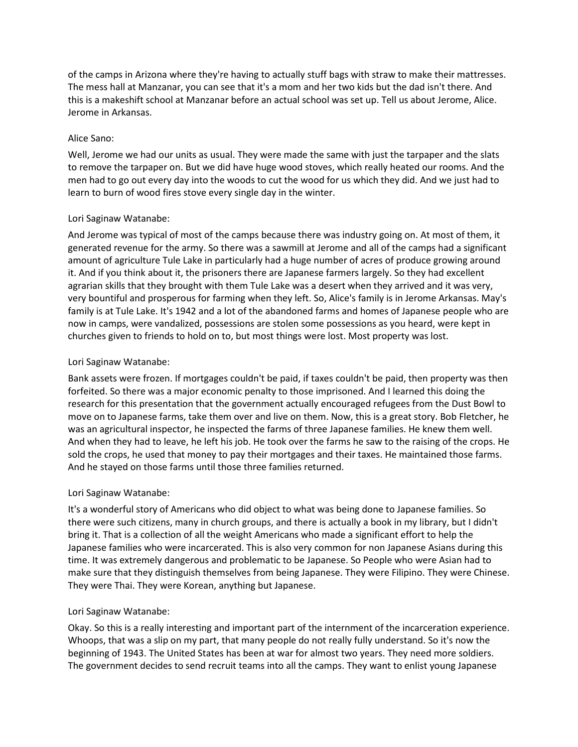of the camps in Arizona where they're having to actually stuff bags with straw to make their mattresses. The mess hall at Manzanar, you can see that it's a mom and her two kids but the dad isn't there. And this is a makeshift school at Manzanar before an actual school was set up. Tell us about Jerome, Alice. Jerome in Arkansas.

## Alice Sano:

Well, Jerome we had our units as usual. They were made the same with just the tarpaper and the slats to remove the tarpaper on. But we did have huge wood stoves, which really heated our rooms. And the men had to go out every day into the woods to cut the wood for us which they did. And we just had to learn to burn of wood fires stove every single day in the winter.

## Lori Saginaw Watanabe:

And Jerome was typical of most of the camps because there was industry going on. At most of them, it generated revenue for the army. So there was a sawmill at Jerome and all of the camps had a significant amount of agriculture Tule Lake in particularly had a huge number of acres of produce growing around it. And if you think about it, the prisoners there are Japanese farmers largely. So they had excellent agrarian skills that they brought with them Tule Lake was a desert when they arrived and it was very, very bountiful and prosperous for farming when they left. So, Alice's family is in Jerome Arkansas. May's family is at Tule Lake. It's 1942 and a lot of the abandoned farms and homes of Japanese people who are now in camps, were vandalized, possessions are stolen some possessions as you heard, were kept in churches given to friends to hold on to, but most things were lost. Most property was lost.

## Lori Saginaw Watanabe:

Bank assets were frozen. If mortgages couldn't be paid, if taxes couldn't be paid, then property was then forfeited. So there was a major economic penalty to those imprisoned. And I learned this doing the research for this presentation that the government actually encouraged refugees from the Dust Bowl to move on to Japanese farms, take them over and live on them. Now, this is a great story. Bob Fletcher, he was an agricultural inspector, he inspected the farms of three Japanese families. He knew them well. And when they had to leave, he left his job. He took over the farms he saw to the raising of the crops. He sold the crops, he used that money to pay their mortgages and their taxes. He maintained those farms. And he stayed on those farms until those three families returned.

# Lori Saginaw Watanabe:

It's a wonderful story of Americans who did object to what was being done to Japanese families. So there were such citizens, many in church groups, and there is actually a book in my library, but I didn't bring it. That is a collection of all the weight Americans who made a significant effort to help the Japanese families who were incarcerated. This is also very common for non Japanese Asians during this time. It was extremely dangerous and problematic to be Japanese. So People who were Asian had to make sure that they distinguish themselves from being Japanese. They were Filipino. They were Chinese. They were Thai. They were Korean, anything but Japanese.

### Lori Saginaw Watanabe:

Okay. So this is a really interesting and important part of the internment of the incarceration experience. Whoops, that was a slip on my part, that many people do not really fully understand. So it's now the beginning of 1943. The United States has been at war for almost two years. They need more soldiers. The government decides to send recruit teams into all the camps. They want to enlist young Japanese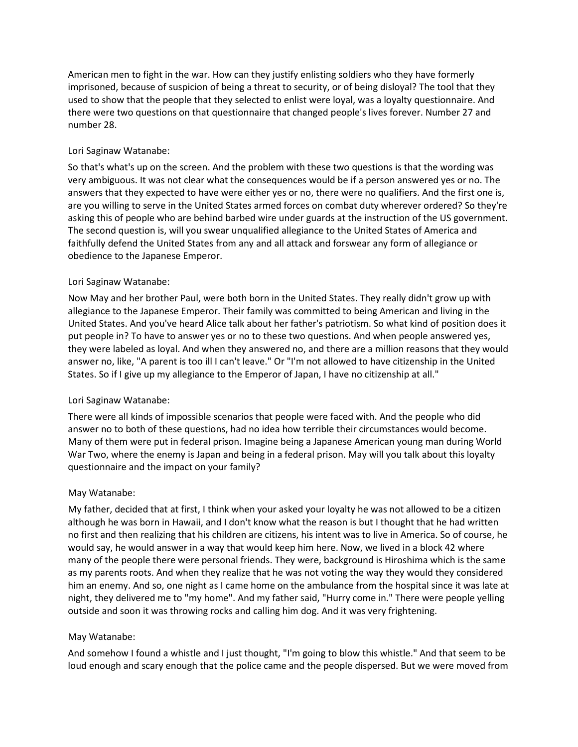American men to fight in the war. How can they justify enlisting soldiers who they have formerly imprisoned, because of suspicion of being a threat to security, or of being disloyal? The tool that they used to show that the people that they selected to enlist were loyal, was a loyalty questionnaire. And there were two questions on that questionnaire that changed people's lives forever. Number 27 and number 28.

## Lori Saginaw Watanabe:

So that's what's up on the screen. And the problem with these two questions is that the wording was very ambiguous. It was not clear what the consequences would be if a person answered yes or no. The answers that they expected to have were either yes or no, there were no qualifiers. And the first one is, are you willing to serve in the United States armed forces on combat duty wherever ordered? So they're asking this of people who are behind barbed wire under guards at the instruction of the US government. The second question is, will you swear unqualified allegiance to the United States of America and faithfully defend the United States from any and all attack and forswear any form of allegiance or obedience to the Japanese Emperor.

## Lori Saginaw Watanabe:

Now May and her brother Paul, were both born in the United States. They really didn't grow up with allegiance to the Japanese Emperor. Their family was committed to being American and living in the United States. And you've heard Alice talk about her father's patriotism. So what kind of position does it put people in? To have to answer yes or no to these two questions. And when people answered yes, they were labeled as loyal. And when they answered no, and there are a million reasons that they would answer no, like, "A parent is too ill I can't leave." Or "I'm not allowed to have citizenship in the United States. So if I give up my allegiance to the Emperor of Japan, I have no citizenship at all."

### Lori Saginaw Watanabe:

There were all kinds of impossible scenarios that people were faced with. And the people who did answer no to both of these questions, had no idea how terrible their circumstances would become. Many of them were put in federal prison. Imagine being a Japanese American young man during World War Two, where the enemy is Japan and being in a federal prison. May will you talk about this loyalty questionnaire and the impact on your family?

### May Watanabe:

My father, decided that at first, I think when your asked your loyalty he was not allowed to be a citizen although he was born in Hawaii, and I don't know what the reason is but I thought that he had written no first and then realizing that his children are citizens, his intent was to live in America. So of course, he would say, he would answer in a way that would keep him here. Now, we lived in a block 42 where many of the people there were personal friends. They were, background is Hiroshima which is the same as my parents roots. And when they realize that he was not voting the way they would they considered him an enemy. And so, one night as I came home on the ambulance from the hospital since it was late at night, they delivered me to "my home". And my father said, "Hurry come in." There were people yelling outside and soon it was throwing rocks and calling him dog. And it was very frightening.

### May Watanabe:

And somehow I found a whistle and I just thought, "I'm going to blow this whistle." And that seem to be loud enough and scary enough that the police came and the people dispersed. But we were moved from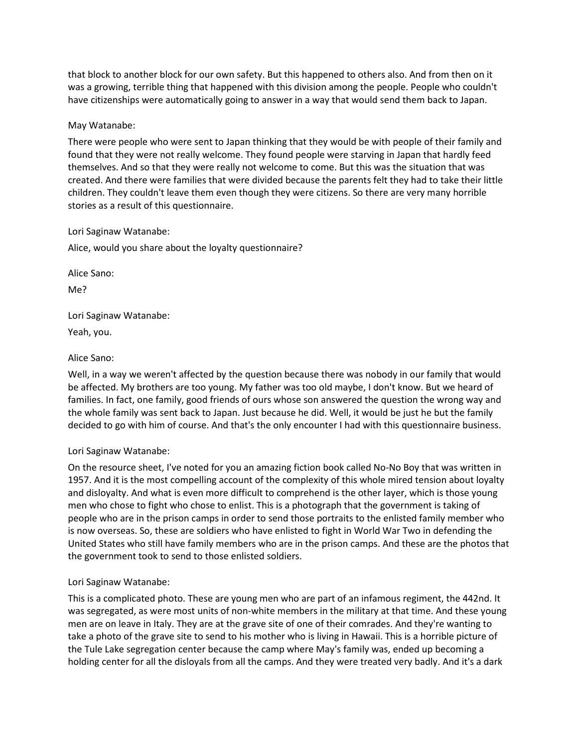that block to another block for our own safety. But this happened to others also. And from then on it was a growing, terrible thing that happened with this division among the people. People who couldn't have citizenships were automatically going to answer in a way that would send them back to Japan.

### May Watanabe:

There were people who were sent to Japan thinking that they would be with people of their family and found that they were not really welcome. They found people were starving in Japan that hardly feed themselves. And so that they were really not welcome to come. But this was the situation that was created. And there were families that were divided because the parents felt they had to take their little children. They couldn't leave them even though they were citizens. So there are very many horrible stories as a result of this questionnaire.

#### Lori Saginaw Watanabe:

Alice, would you share about the loyalty questionnaire?

Alice Sano:

Me?

Lori Saginaw Watanabe:

Yeah, you.

### Alice Sano:

Well, in a way we weren't affected by the question because there was nobody in our family that would be affected. My brothers are too young. My father was too old maybe, I don't know. But we heard of families. In fact, one family, good friends of ours whose son answered the question the wrong way and the whole family was sent back to Japan. Just because he did. Well, it would be just he but the family decided to go with him of course. And that's the only encounter I had with this questionnaire business.

### Lori Saginaw Watanabe:

On the resource sheet, I've noted for you an amazing fiction book called No-No Boy that was written in 1957. And it is the most compelling account of the complexity of this whole mired tension about loyalty and disloyalty. And what is even more difficult to comprehend is the other layer, which is those young men who chose to fight who chose to enlist. This is a photograph that the government is taking of people who are in the prison camps in order to send those portraits to the enlisted family member who is now overseas. So, these are soldiers who have enlisted to fight in World War Two in defending the United States who still have family members who are in the prison camps. And these are the photos that the government took to send to those enlisted soldiers.

### Lori Saginaw Watanabe:

This is a complicated photo. These are young men who are part of an infamous regiment, the 442nd. It was segregated, as were most units of non-white members in the military at that time. And these young men are on leave in Italy. They are at the grave site of one of their comrades. And they're wanting to take a photo of the grave site to send to his mother who is living in Hawaii. This is a horrible picture of the Tule Lake segregation center because the camp where May's family was, ended up becoming a holding center for all the disloyals from all the camps. And they were treated very badly. And it's a dark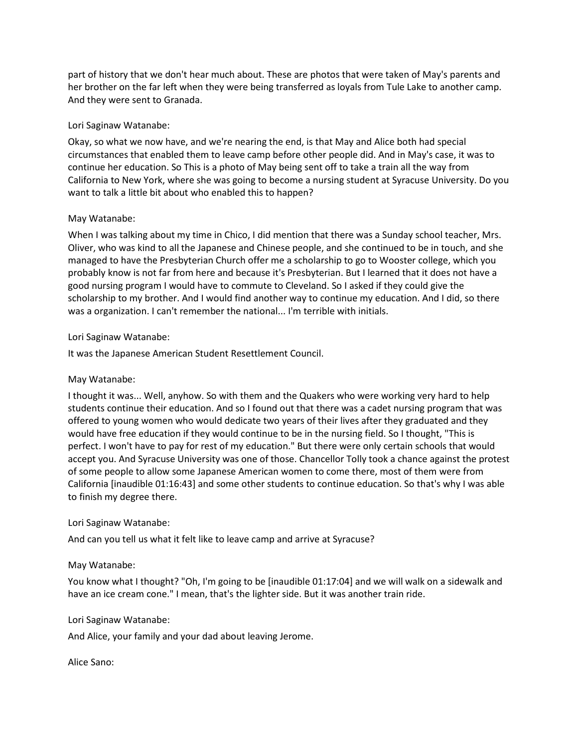part of history that we don't hear much about. These are photos that were taken of May's parents and her brother on the far left when they were being transferred as loyals from Tule Lake to another camp. And they were sent to Granada.

## Lori Saginaw Watanabe:

Okay, so what we now have, and we're nearing the end, is that May and Alice both had special circumstances that enabled them to leave camp before other people did. And in May's case, it was to continue her education. So This is a photo of May being sent off to take a train all the way from California to New York, where she was going to become a nursing student at Syracuse University. Do you want to talk a little bit about who enabled this to happen?

## May Watanabe:

When I was talking about my time in Chico, I did mention that there was a Sunday school teacher, Mrs. Oliver, who was kind to all the Japanese and Chinese people, and she continued to be in touch, and she managed to have the Presbyterian Church offer me a scholarship to go to Wooster college, which you probably know is not far from here and because it's Presbyterian. But I learned that it does not have a good nursing program I would have to commute to Cleveland. So I asked if they could give the scholarship to my brother. And I would find another way to continue my education. And I did, so there was a organization. I can't remember the national... I'm terrible with initials.

## Lori Saginaw Watanabe:

It was the Japanese American Student Resettlement Council.

# May Watanabe:

I thought it was... Well, anyhow. So with them and the Quakers who were working very hard to help students continue their education. And so I found out that there was a cadet nursing program that was offered to young women who would dedicate two years of their lives after they graduated and they would have free education if they would continue to be in the nursing field. So I thought, "This is perfect. I won't have to pay for rest of my education." But there were only certain schools that would accept you. And Syracuse University was one of those. Chancellor Tolly took a chance against the protest of some people to allow some Japanese American women to come there, most of them were from California [inaudible 01:16:43] and some other students to continue education. So that's why I was able to finish my degree there.

### Lori Saginaw Watanabe:

And can you tell us what it felt like to leave camp and arrive at Syracuse?

### May Watanabe:

You know what I thought? "Oh, I'm going to be [inaudible 01:17:04] and we will walk on a sidewalk and have an ice cream cone." I mean, that's the lighter side. But it was another train ride.

### Lori Saginaw Watanabe:

And Alice, your family and your dad about leaving Jerome.

### Alice Sano: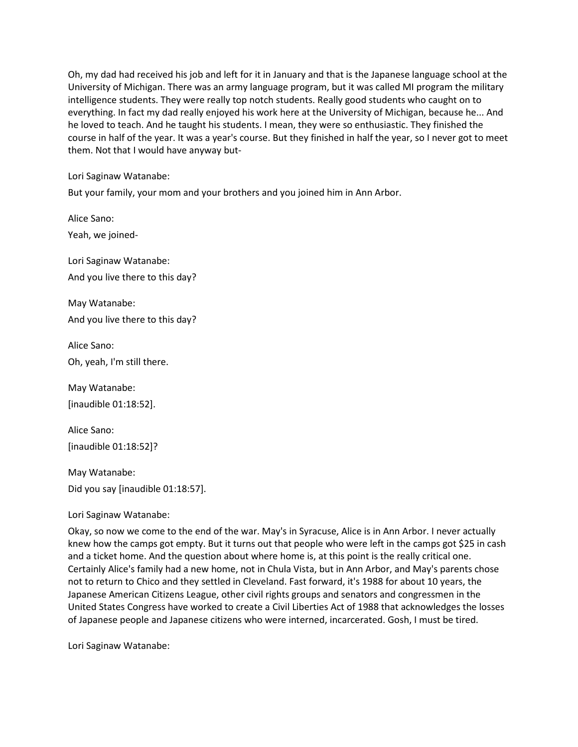Oh, my dad had received his job and left for it in January and that is the Japanese language school at the University of Michigan. There was an army language program, but it was called MI program the military intelligence students. They were really top notch students. Really good students who caught on to everything. In fact my dad really enjoyed his work here at the University of Michigan, because he... And he loved to teach. And he taught his students. I mean, they were so enthusiastic. They finished the course in half of the year. It was a year's course. But they finished in half the year, so I never got to meet them. Not that I would have anyway but-

Lori Saginaw Watanabe:

But your family, your mom and your brothers and you joined him in Ann Arbor.

Alice Sano: Yeah, we joined-

Lori Saginaw Watanabe: And you live there to this day?

May Watanabe: And you live there to this day?

Alice Sano: Oh, yeah, I'm still there.

May Watanabe: [inaudible 01:18:52].

Alice Sano: [inaudible 01:18:52]?

May Watanabe: Did you say [inaudible 01:18:57].

Lori Saginaw Watanabe:

Okay, so now we come to the end of the war. May's in Syracuse, Alice is in Ann Arbor. I never actually knew how the camps got empty. But it turns out that people who were left in the camps got \$25 in cash and a ticket home. And the question about where home is, at this point is the really critical one. Certainly Alice's family had a new home, not in Chula Vista, but in Ann Arbor, and May's parents chose not to return to Chico and they settled in Cleveland. Fast forward, it's 1988 for about 10 years, the Japanese American Citizens League, other civil rights groups and senators and congressmen in the United States Congress have worked to create a Civil Liberties Act of 1988 that acknowledges the losses of Japanese people and Japanese citizens who were interned, incarcerated. Gosh, I must be tired.

Lori Saginaw Watanabe: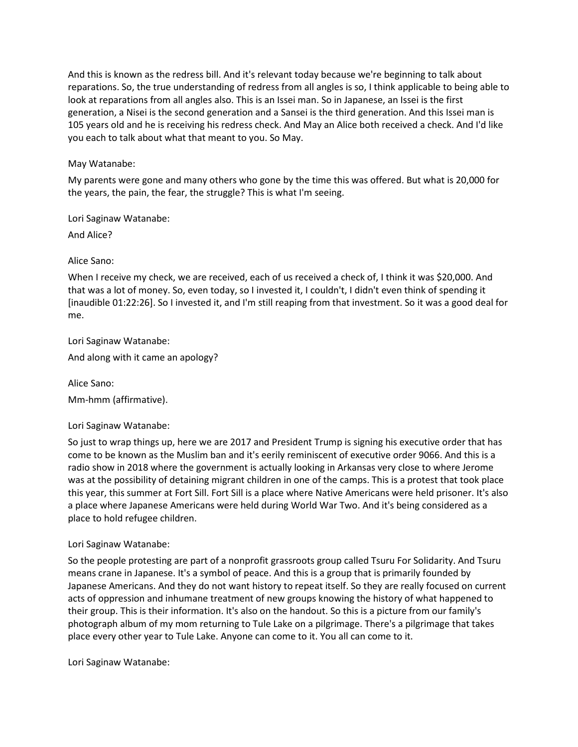And this is known as the redress bill. And it's relevant today because we're beginning to talk about reparations. So, the true understanding of redress from all angles is so, I think applicable to being able to look at reparations from all angles also. This is an Issei man. So in Japanese, an Issei is the first generation, a Nisei is the second generation and a Sansei is the third generation. And this Issei man is 105 years old and he is receiving his redress check. And May an Alice both received a check. And I'd like you each to talk about what that meant to you. So May.

## May Watanabe:

My parents were gone and many others who gone by the time this was offered. But what is 20,000 for the years, the pain, the fear, the struggle? This is what I'm seeing.

Lori Saginaw Watanabe:

And Alice?

Alice Sano:

When I receive my check, we are received, each of us received a check of, I think it was \$20,000. And that was a lot of money. So, even today, so I invested it, I couldn't, I didn't even think of spending it [inaudible 01:22:26]. So I invested it, and I'm still reaping from that investment. So it was a good deal for me.

Lori Saginaw Watanabe:

And along with it came an apology?

Alice Sano:

Mm-hmm (affirmative).

Lori Saginaw Watanabe:

So just to wrap things up, here we are 2017 and President Trump is signing his executive order that has come to be known as the Muslim ban and it's eerily reminiscent of executive order 9066. And this is a radio show in 2018 where the government is actually looking in Arkansas very close to where Jerome was at the possibility of detaining migrant children in one of the camps. This is a protest that took place this year, this summer at Fort Sill. Fort Sill is a place where Native Americans were held prisoner. It's also a place where Japanese Americans were held during World War Two. And it's being considered as a place to hold refugee children.

# Lori Saginaw Watanabe:

So the people protesting are part of a nonprofit grassroots group called Tsuru For Solidarity. And Tsuru means crane in Japanese. It's a symbol of peace. And this is a group that is primarily founded by Japanese Americans. And they do not want history to repeat itself. So they are really focused on current acts of oppression and inhumane treatment of new groups knowing the history of what happened to their group. This is their information. It's also on the handout. So this is a picture from our family's photograph album of my mom returning to Tule Lake on a pilgrimage. There's a pilgrimage that takes place every other year to Tule Lake. Anyone can come to it. You all can come to it.

Lori Saginaw Watanabe: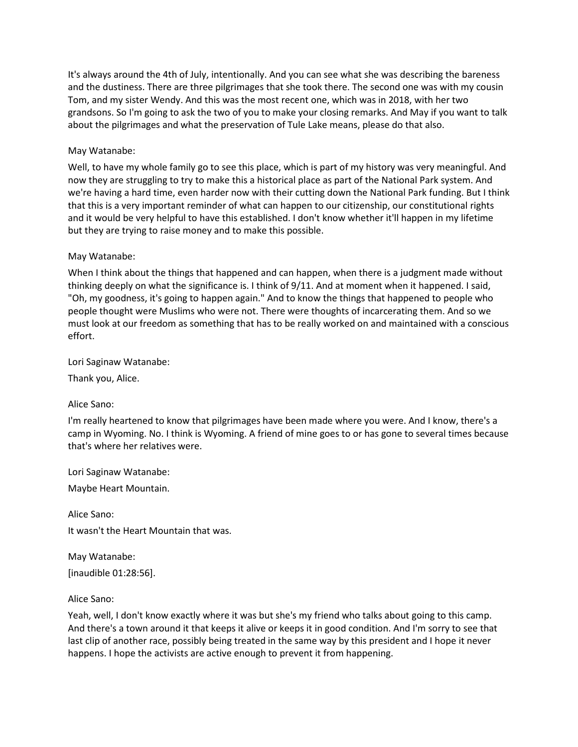It's always around the 4th of July, intentionally. And you can see what she was describing the bareness and the dustiness. There are three pilgrimages that she took there. The second one was with my cousin Tom, and my sister Wendy. And this was the most recent one, which was in 2018, with her two grandsons. So I'm going to ask the two of you to make your closing remarks. And May if you want to talk about the pilgrimages and what the preservation of Tule Lake means, please do that also.

## May Watanabe:

Well, to have my whole family go to see this place, which is part of my history was very meaningful. And now they are struggling to try to make this a historical place as part of the National Park system. And we're having a hard time, even harder now with their cutting down the National Park funding. But I think that this is a very important reminder of what can happen to our citizenship, our constitutional rights and it would be very helpful to have this established. I don't know whether it'll happen in my lifetime but they are trying to raise money and to make this possible.

### May Watanabe:

When I think about the things that happened and can happen, when there is a judgment made without thinking deeply on what the significance is. I think of 9/11. And at moment when it happened. I said, "Oh, my goodness, it's going to happen again." And to know the things that happened to people who people thought were Muslims who were not. There were thoughts of incarcerating them. And so we must look at our freedom as something that has to be really worked on and maintained with a conscious effort.

Lori Saginaw Watanabe:

Thank you, Alice.

Alice Sano:

I'm really heartened to know that pilgrimages have been made where you were. And I know, there's a camp in Wyoming. No. I think is Wyoming. A friend of mine goes to or has gone to several times because that's where her relatives were.

Lori Saginaw Watanabe:

Maybe Heart Mountain.

Alice Sano:

It wasn't the Heart Mountain that was.

May Watanabe: [inaudible 01:28:56].

Alice Sano:

Yeah, well, I don't know exactly where it was but she's my friend who talks about going to this camp. And there's a town around it that keeps it alive or keeps it in good condition. And I'm sorry to see that last clip of another race, possibly being treated in the same way by this president and I hope it never happens. I hope the activists are active enough to prevent it from happening.